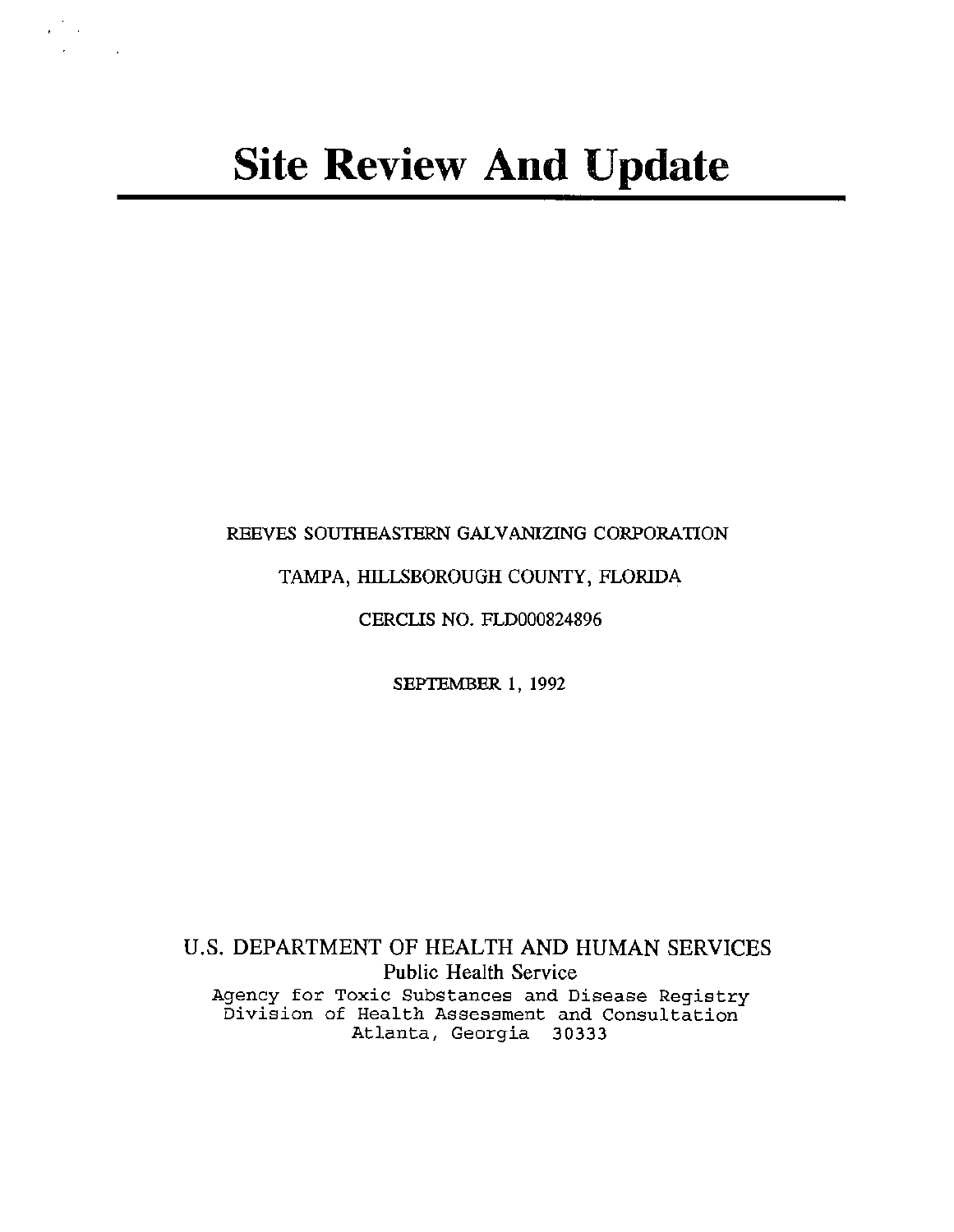# REEVES SOUTHEASTERN GALVANIZING CORPORATION

# TAMPA, HILLSBOROUGH COUNTY, FLORIDA

# CERCLIS NO. FLD000824896

SEPTEMBER 1, 1992

U.S. DEPARTMENT OF HEALTH AND HUMAN SERVICES Public Health Service Agency for Toxic Substances and Disease Registry Division of Health Assessment and Consultation Atlanta, Georgia 30333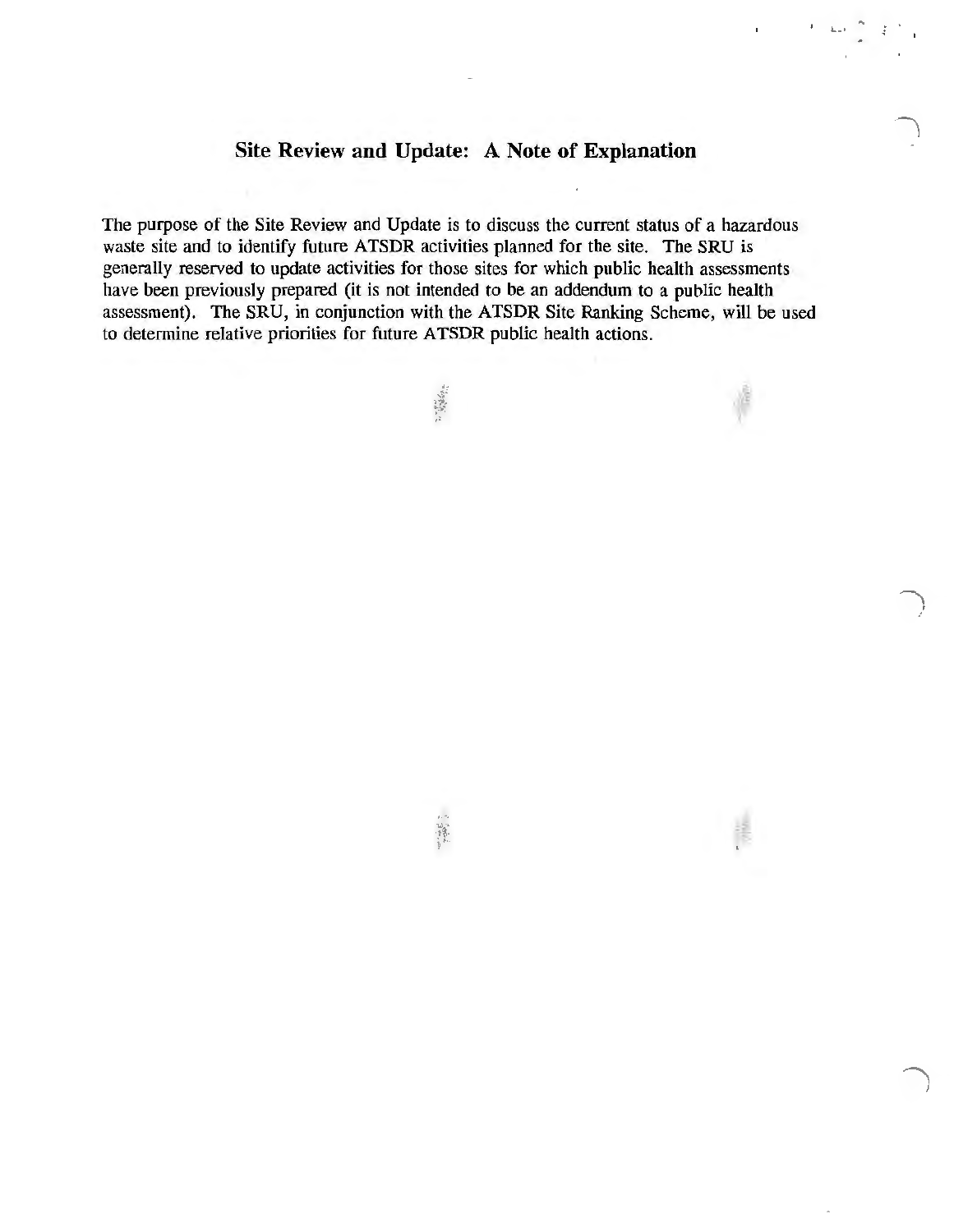# **Site Review and Update: A Note of Explanation**

.....

 $\bigcup$ I

The purpose of the Site Review and Update is to discuss the current status of a hazardous waste site and to identify future ATSDR activities planned for the site. The SRU is generally reserved to update activities for those sites for which public health assessments have been previously prepared (it is not intended to be an addendum to a public health assessment). The SRU, in conjunction with the ATSDR Site Ranking Scheme, will be used to determine relative priorities for future ATSDR public health actions.

" 建设公司

 $\frac{13}{13}$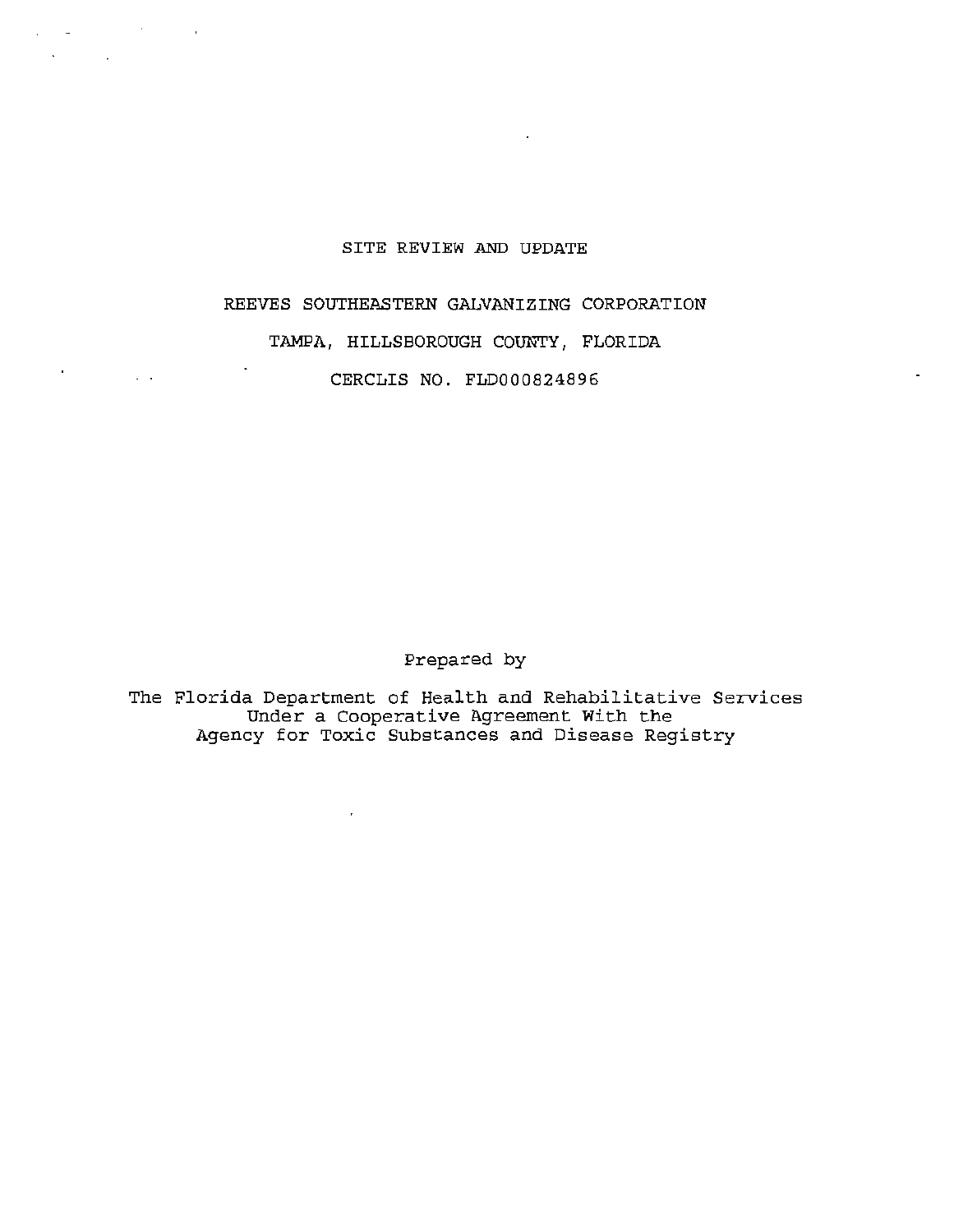## SITE REVIEW AND UPDATE

 $\overline{\phantom{a}}$ 

product the control of the control

 $\Box$ 

 $\Delta \phi = 0.01$  and  $\Delta \phi = 0.01$ 

v.

 $\mathbb{R}^2$ 

## REEVES SOUTHEASTERN GALVANIZING CORPORATION

## TAMPA, HILLSBOROUGH COUNTY, FLORIDA

CERCLIS NO. FLD000824896

Prepared by

The Florida Department of Health and Rehabilitative Services Under a Cooperative Agreement With the Agency for Toxic Substances and Disease Registry

 $\mathbf{r}$  .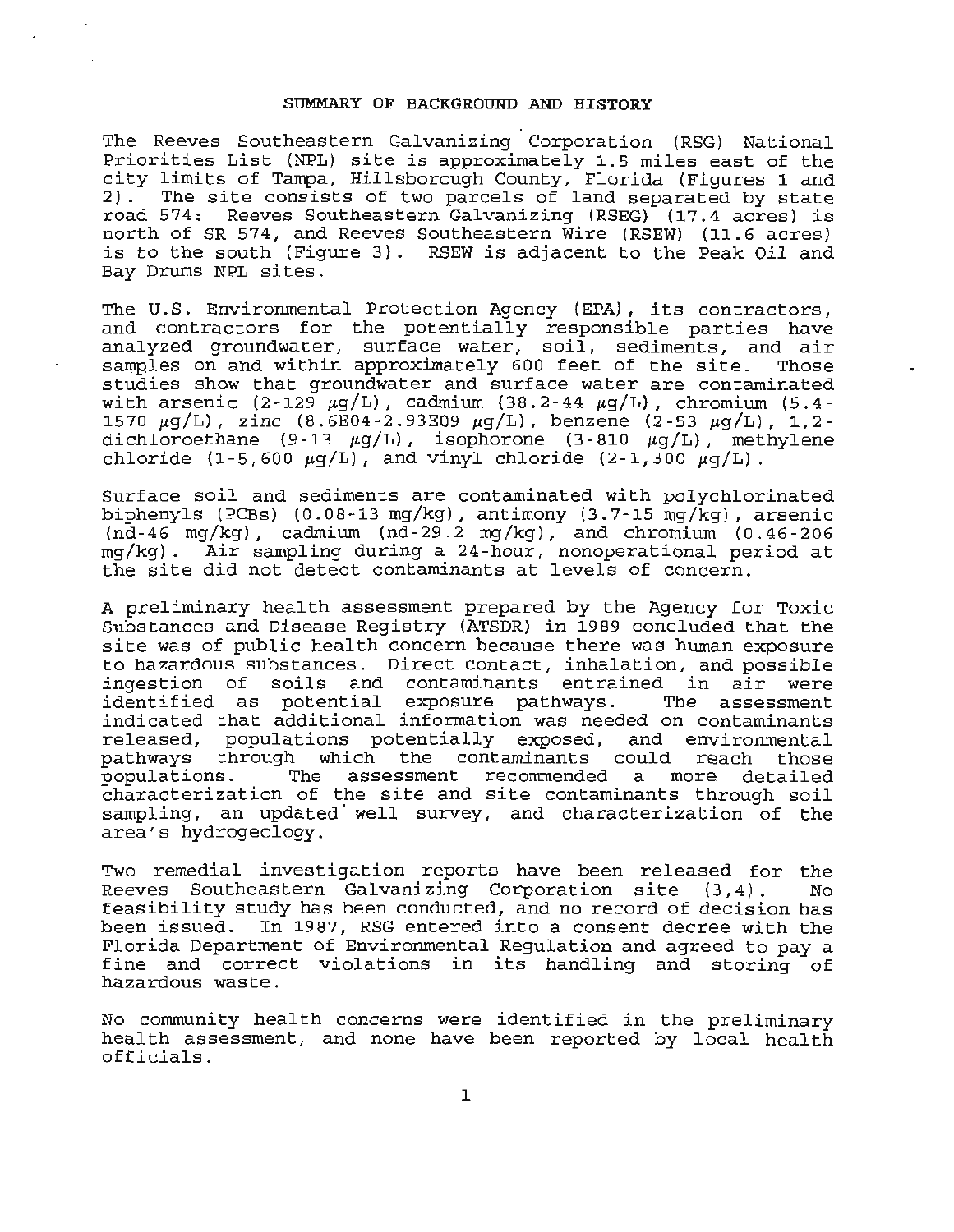#### SUMMARY OF BACKGROUND AND HISTORY

The Reeves Southeastern Galvanizing Corporation (RSG) National Priorities List (NPL) site is approximately 1.5 miles east of the city limits of Tampa, Hillsborough County, Florida (Figures 1 and 2). The site consists of two parcels of land separated by state road 574: Reeves Southeastern Galvanizing (RSEG) (17.4 acres) is north of SR 574, and Reeves Southeastern Wire (RSEW) (11.6 acres) is to the south (Figure 3). RSEW is adjacent to the Peak Oil and Bay Drums NPL sites.

The U.S. Environmental Protection Agency (EPA), its contractors, and contractors for the potentially responsible parties have analyzed groundwater, surface water, soil, sediments, and air samples on and within approximately 600 feet of the site. Those studies show that groundwater and surface water are contaminated with arsenic (2-129  $\mu$ g/L), cadmium (38.2-44  $\mu$ g/L), chromium (5.4-1570  $\mu$ g/L), zinc (8.6E04-2.93E09  $\mu$ g/L), benzene (2-53  $\mu$ g/L), 1,2dichloroethane (9-13  $\mu$ g/L), isophorone (3-810  $\mu$ g/L), methylene chloride  $(1-5,600 \mu q/L)$ , and vinyl chloride  $(2-1,300 \mu q/L)$ .

Surface soil and sediments are contaminated with polychlorinated biphenyls (PCBs) (0.08-13 mg/kg), antimony (3.7-15 mg/kg), arsenic  $(n\bar{d}-46 \text{ mg/kg})$ , cadmium  $(n\bar{d}-29.2 \text{ mg/kg})$ , and chromium  $(0.46-206$ mg/kg) . Air sampling during a 24-hour, nonoperational period at the site did not detect contaminants at levels of concern.

A preliminary health assessment prepared by the Agency for Toxic Substances and Disease Registry (ATSDR) in 1989 concluded that the site was of public health concern because there was human exposure to hazardous substances. Direct contact, inhalation, and possible ingestion of soils and contaminants entrained in air were<br>identified as potential exposure pathways. The assessment identified as potential exposure pathways. indicated that additional information was needed on contaminants released, populations potentially exposed, and environmental<br>pathways through which the contaminants could reach those pathways through which the contaminants could reach those<br>populations. The assessment recommended a more detailed The assessment recommended a more characterization of the site and site contaminants through soil sampling, an updated well survey, and characterization of the area's hydrogeology.

Two remedial investigation reports have been released for the Reeves Southeastern Galvanizing Corporation site (3,4) . No feasibility study has been conducted, and no record of decision has been issued. In 1987, RSG entered into a consent decree with the Florida Department of Environmental Regulation and agreed to pay a fine and correct violations in its handling and storing of hazardous waste .

No community health concerns were identified in the preliminary health assessment, and none have been reported by local health officials.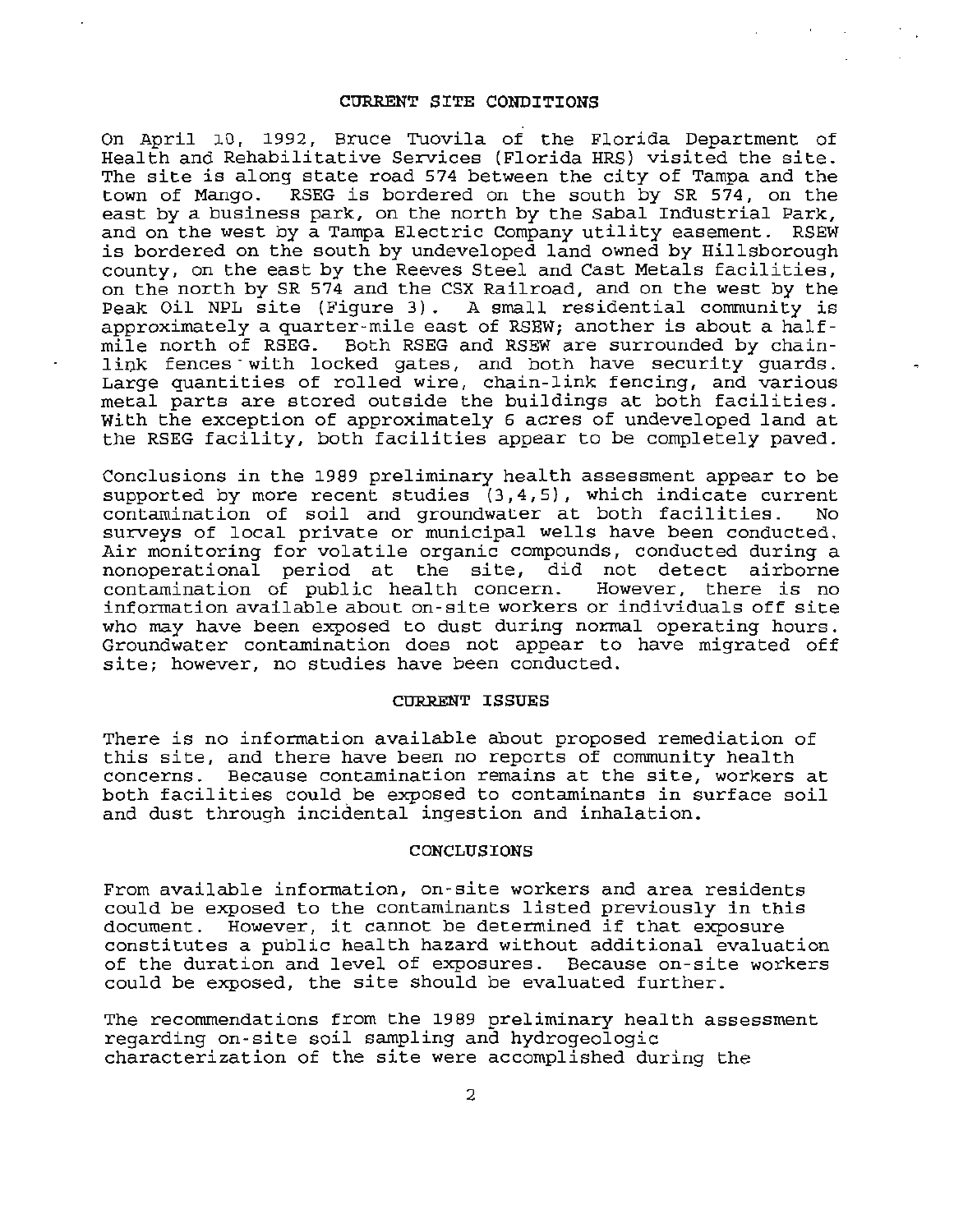### CURRENT SITE CONDITIONS

On April 10, 1992, Bruce Tuovila of the Florida Department of Health and Rehabilitative Services (Florida HRS) visited the site. The site is along state road 574 between the city of Tampa and the town of Mango. RSEG is bordered on the south by SR 574, on the east by a business park, on the north by the Sabal Industrial Park, and on the west by a Tampa Electric Company utility easement. RSEW is bordered on the south by undeveloped land owned by Hillsborough county, on the east by the Reeves Steel and Cast Metals facilities, on the north by SR 574 and the CSX Railroad, and on the west by the Peak Oil NPL site (Figure 3). A small residential community is approximately a quarter-mile east of RSEW; another is about a halfmile north of RSEG. Both RSEG and RSEW are surrounded by chainlink fences with locked gates, and both have security guards. Large quantities of rolled wire, chain-link fencing, and various metal parts are stored outside the buildings at both facilities. With the exception of approximately 6 acres of undeveloped land at the RSEG facility, both facilities appear to be completely paved.

Conclusions in the 1989 preliminary health assessment appear to be supported by more recent studies (3,4,5), which indicate current<br>contamination of soil and groundwater at both facilities. No contamination of soil and groundwater at both facilities. surveys of local private or municipal wells have been conducted. Air monitoring for volatile organic compounds, conducted during a nonoperational period at the site, did not detect airborne contamination of public health concern. information available about on-site workers or individuals off site who may have been exposed to dust during normal operating hours. Groundwater contamination does not appear to have migrated off site; however, no studies have been conducted.

#### CURRENT ISSUES

There is no information available about proposed remediation of this site, and there have been no reports of community health concerns. Because contamination remains at the site, workers at both facilities could be exposed to contaminants in surface soil and dust through incidental ingestion and inhalation.

### CONCLUSIONS

From available information, on-site workers and area residents could be exposed to the contaminants listed previously in this document. However, it cannot be determined if that exposure constitutes a public health hazard without additional evaluation of the duration and level of exposures. Because on-site workers could be exposed, the site should be evaluated further.

The recommendations from the 1989 preliminary health assessment regarding on-site soil sampling and hydrogeologic characterization of the site were accomplished during the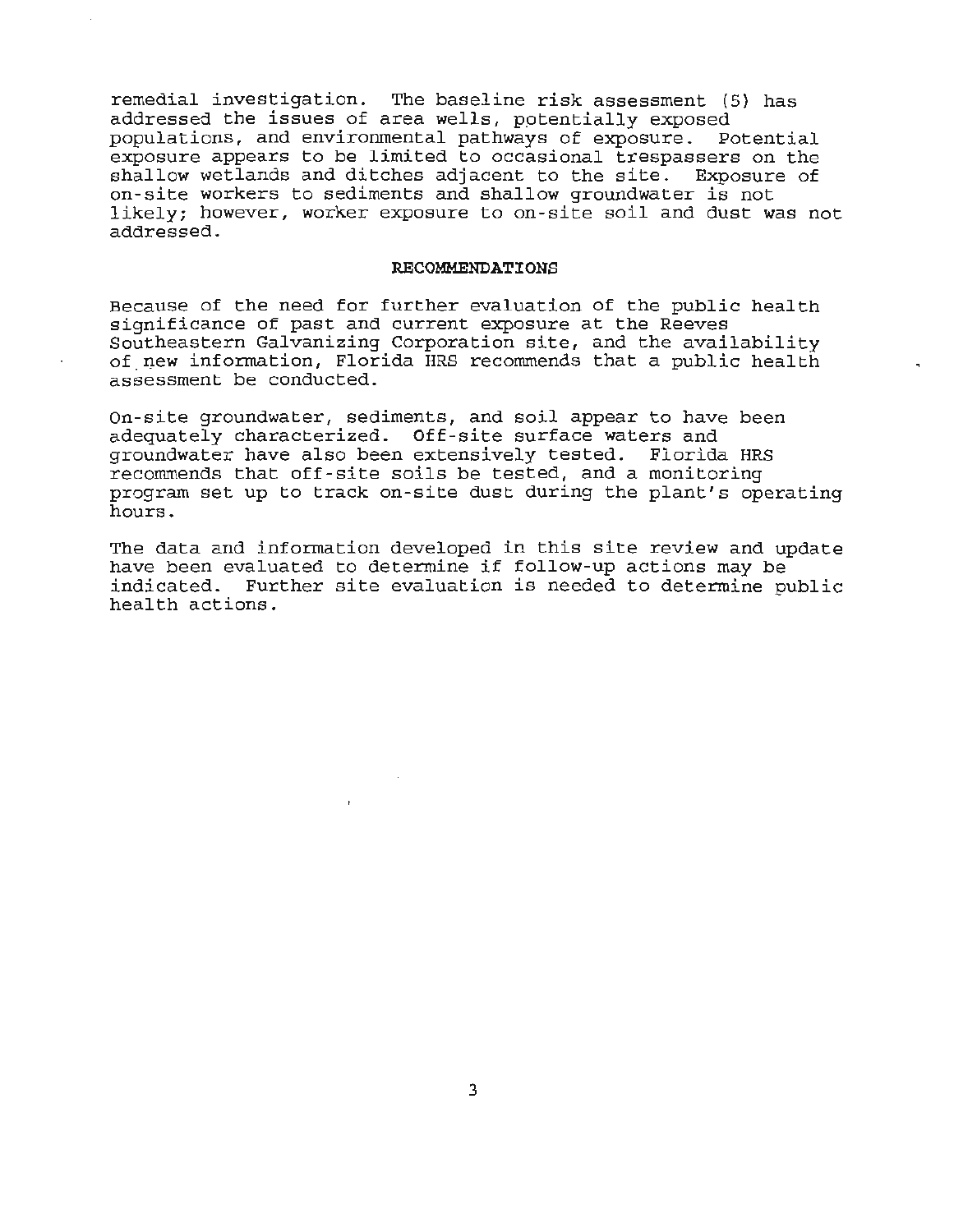remedial investigation. The baseline risk assessment (5) has addressed the issues of area wells, potentially exposed populations, and environmental pathways of exposure. Potential exposure appears to be limited to occasional trespassers on the shallow wetlands and ditches adjacent to the site. Exposure of on-site workers to sediments and shallow groundwater is not likely; however, worker exposure to on-site soil and dust was not addressed.

### **RECOMMENDATIONS**

Because of the need for further evaluation of the public health significance of past and current exposure at the Reeves Southeastern Galvanizing Corporation site, and the availability of new information, Florida HRS recommends that a public health assessment be conducted.

On-site groundwater, sediments, and soil appear to have been adequately characterized. Off-site surface waters and groundwater have also been extensively tested. Florida HRS recommends that off-site soils be tested, and a monitoring program set up to track on-site dust during the plant's operating hours.

The data and information developed in this site review and update have been evaluated to determine if follow-up actions may be indicated. Further site evaluation is needed to determine po Further site evaluation is needed to determine public health actions.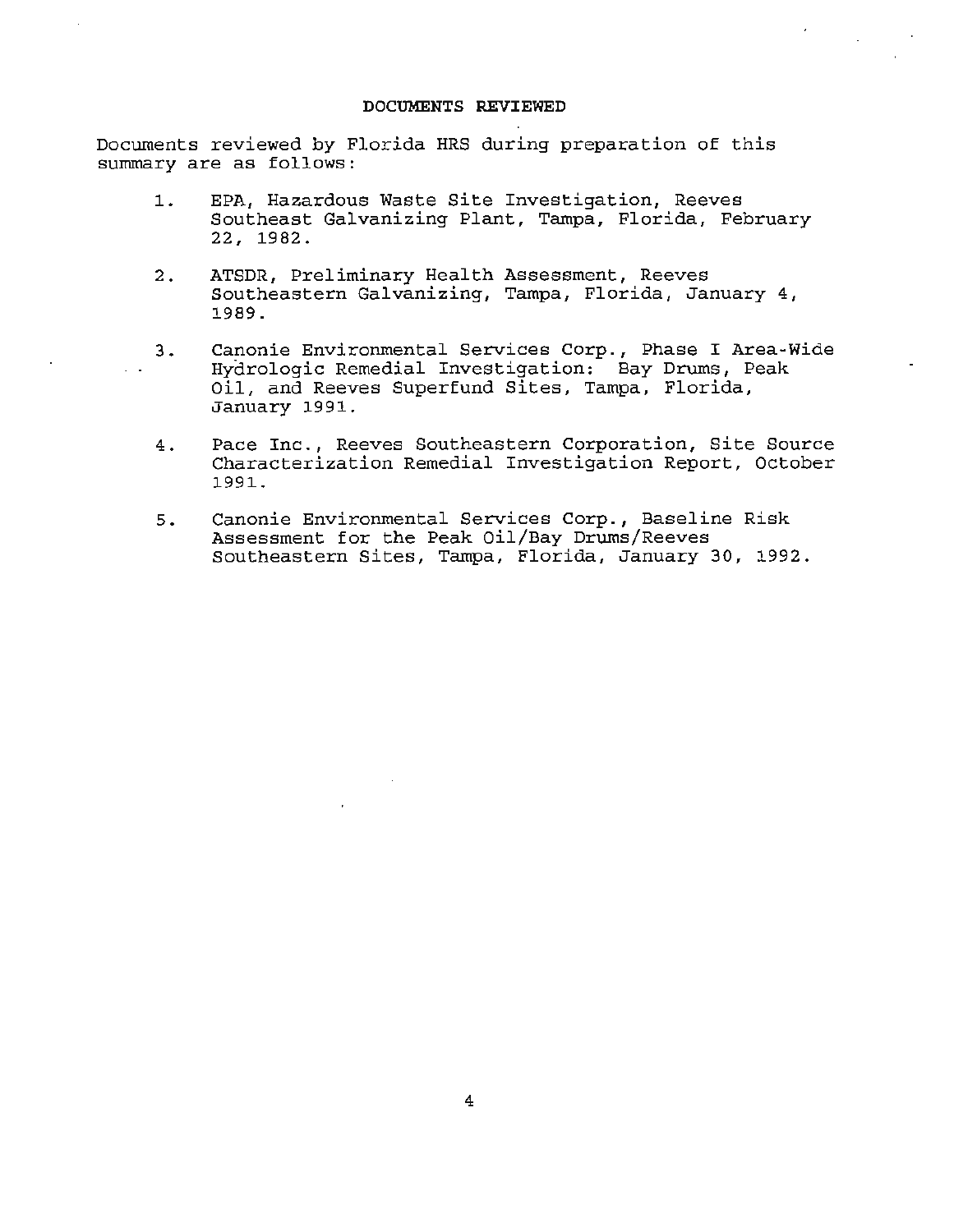### **DOCUMENTS REVIEWED**

Documents reviewed by Florida HRS during preparation of this summary are as follows:

- **1.** EPA, Hazardous Waste Site Investigation, Reeves Southeast Galvanizing Plant, Tampa, Florida, February 22, 1982.
- 2. ATSDR, Preliminary Health Assessment, Reeves Southeastern Galvanizing, Tampa, Florida, January 4, 1989.
- 3 . Canonie Environmental Services Corp., Phase I Area-Wide Hydrologic Remedial Investigation: Bay Drums, Peak Oil, and Reeves Superfund Sites, Tampa, Florida, January 1991.
- 4. Pace Inc., Reeves Southeastern Corporation, Site Source Characterization Remedial Investigation Report, October 1991.
- 5. Canonie Environmental Services Corp., Baseline Risk Assessment for the Peak Oil/Bay Drums/Reeves Southeastern Sites, Tampa, Florida, January 30, 1992.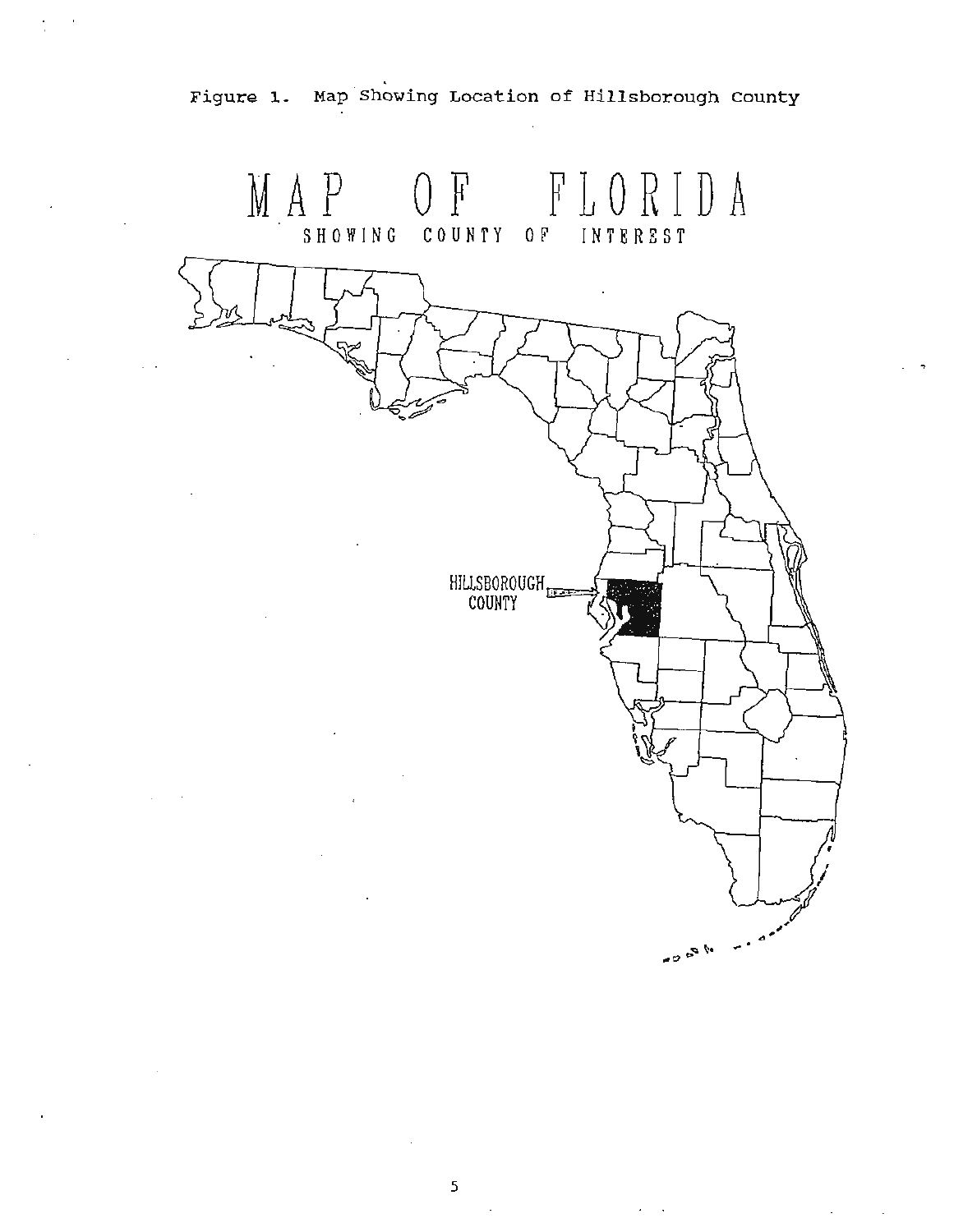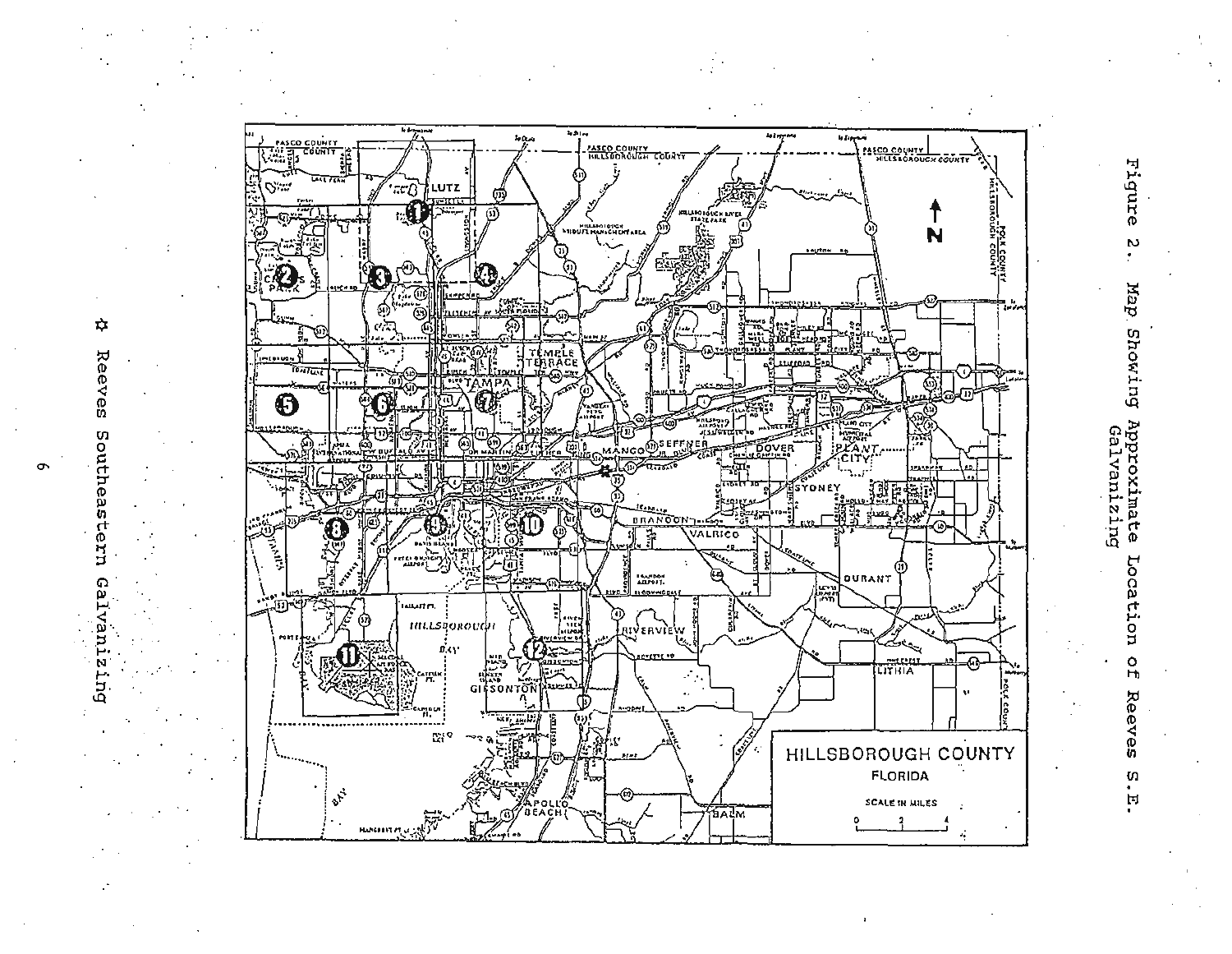



≎

Reeves

Southeastern

e<br>B

rant

N